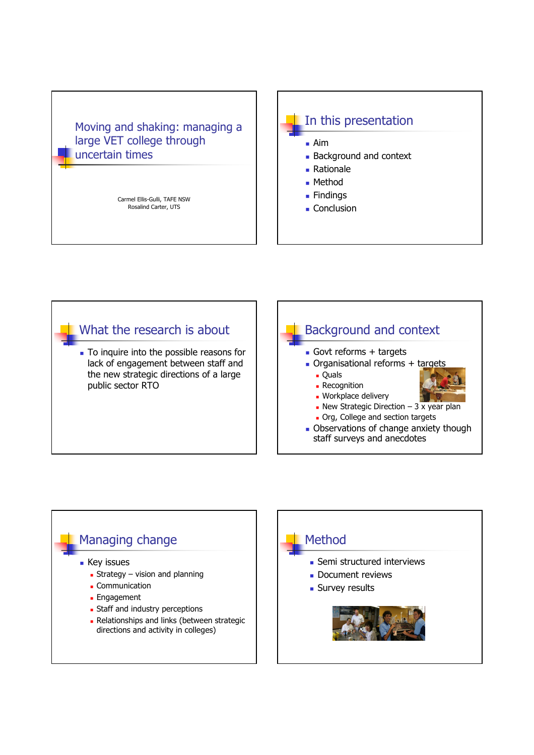## Moving and shaking: managing a large VET college through uncertain times

Carmel Ellis-Gulli, TAFE NSW Rosalind Carter, UTS



- Aim
- **Background and context**
- Rationale
- Method
- **Findings**
- **Conclusion**



To inquire into the possible reasons for lack of engagement between staff and the new strategic directions of a large public sector RTO